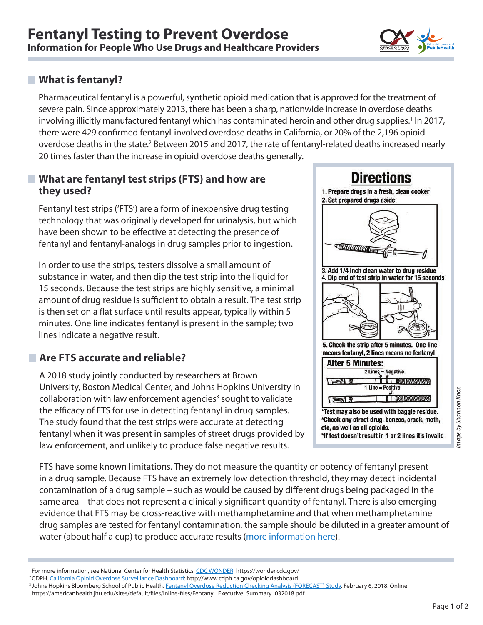

#### **What is fentanyl?**

Pharmaceutical fentanyl is a powerful, synthetic opioid medication that is approved for the treatment of severe pain. Since approximately 2013, there has been a sharp, nationwide increase in overdose deaths involving illicitly manufactured fentanyl which has contaminated heroin and other drug supplies.<sup>1</sup> In 2017, there were 429 confirmed fentanyl-involved overdose deaths in California, or 20% of the 2,196 opioid overdose deaths in the state.<sup>2</sup> Between 2015 and 2017, the rate of fentanyl-related deaths increased nearly 20 times faster than the increase in opioid overdose deaths generally.

#### **What are fentanyl test strips (FTS) and how are they used?**

Fentanyl test strips ('FTS') are a form of inexpensive drug testing technology that was originally developed for urinalysis, but which have been shown to be effective at detecting the presence of fentanyl and fentanyl-analogs in drug samples prior to ingestion.

In order to use the strips, testers dissolve a small amount of substance in water, and then dip the test strip into the liquid for 15 seconds. Because the test strips are highly sensitive, a minimal amount of drug residue is sufficient to obtain a result. The test strip is then set on a flat surface until results appear, typically within 5 minutes. One line indicates fentanyl is present in the sample; two lines indicate a negative result.

## **Are FTS accurate and reliable?**

A 2018 study jointly conducted by researchers at Brown University, Boston Medical Center, and Johns Hopkins University in collaboration with law enforcement agencies<sup>3</sup> sought to validate the efficacy of FTS for use in detecting fentanyl in drug samples. The study found that the test strips were accurate at detecting fentanyl when it was present in samples of street drugs provided by law enforcement, and unlikely to produce false negative results.



FTS have some known limitations. They do not measure the quantity or potency of fentanyl present in a drug sample. Because FTS have an extremely low detection threshold, they may detect incidental contamination of a drug sample – such as would be caused by different drugs being packaged in the same area – that does not represent a clinically significant quantity of fentanyl. There is also emerging Page 1 of 2<br>Page 1 of 2<br>Page 1 of 2

evidence that FTS may be cross-reactive with methamphetamine and that when methamphetamine drug samples are tested for fentanyl contamination, the sample should be diluted in a greater amount of water (about half a cup) to produce accurate results [\(more information here](https://harmreduction.org/issues/fentanyl/)).

1 For more information, see National Center for Health Statistics, [CDC WONDER:](https://wonder.cdc.gov/) https://wonder.cdc.gov/

mage by Shannon Knox

<sup>&</sup>lt;sup>2</sup>CDPH. <u>California Opioid Overdose Surveillance Dashboard</u>: http://www.cdph.ca.gov/opioiddashboard<br><sup>3</sup> Johns Hopkins Bloomberg School of Public Health. <u>Fentanyl Overdose Reduction Checking Analysis (FORECAST) Study</u>. Fe

https://americanhealth.jhu.edu/sites/default/files/inline-files/Fentanyl\_Executive\_Summary\_032018.pdf